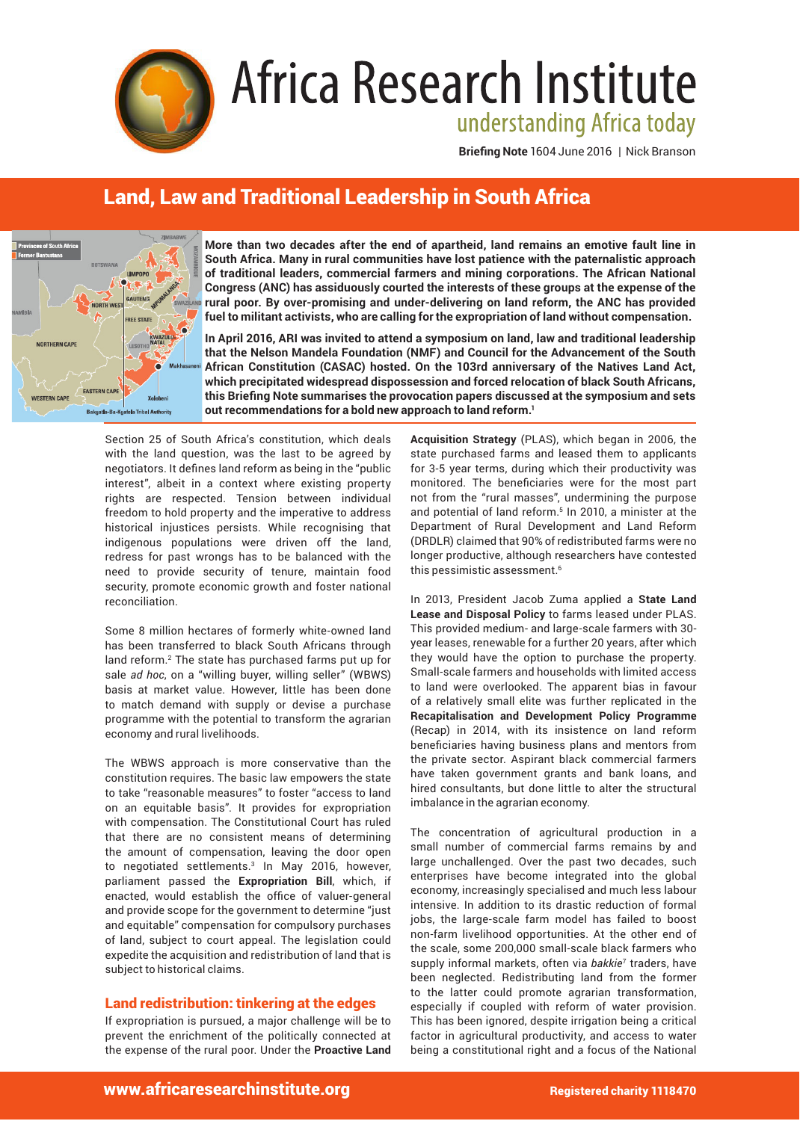

# Africa Research Institute understanding Africa today

**Briefing Note** 1604 June 2016 | Nick Branson

# Land, Law and Traditional Leadership in South Africa



**More than two decades after the end of apartheid, land remains an emotive fault line in South Africa. Many in rural communities have lost patience with the paternalistic approach of traditional leaders, commercial farmers and mining corporations. The African National Congress (ANC) has assiduously courted the interests of these groups at the expense of the rural poor. By over-promising and under-delivering on land reform, the ANC has provided fuel to militant activists, who are calling for the expropriation of land without compensation.** 

**In April 2016, ARI was invited to attend a symposium on land, law and traditional leadership that the Nelson Mandela Foundation (NMF) and Council for the Advancement of the South African Constitution (CASAC) hosted. On the 103rd anniversary of the Natives Land Act, which precipitated widespread dispossession and forced relocation of black South Africans, this Briefing Note summarises the provocation papers discussed at the symposium and sets out recommendations for a bold new approach to land reform.1**

Section 25 of South Africa's constitution, which deals with the land question, was the last to be agreed by negotiators. It defines land reform as being in the "public interest", albeit in a context where existing property rights are respected. Tension between individual freedom to hold property and the imperative to address historical injustices persists. While recognising that indigenous populations were driven off the land, redress for past wrongs has to be balanced with the need to provide security of tenure, maintain food security, promote economic growth and foster national reconciliation.

Some 8 million hectares of formerly white-owned land has been transferred to black South Africans through land reform.<sup>2</sup> The state has purchased farms put up for sale *ad hoc*, on a "willing buyer, willing seller" (WBWS) basis at market value. However, little has been done to match demand with supply or devise a purchase programme with the potential to transform the agrarian economy and rural livelihoods.

The WBWS approach is more conservative than the constitution requires. The basic law empowers the state to take "reasonable measures" to foster "access to land on an equitable basis". It provides for expropriation with compensation. The Constitutional Court has ruled that there are no consistent means of determining the amount of compensation, leaving the door open to negotiated settlements.<sup>3</sup> In May 2016, however, parliament passed the **Expropriation Bill**, which, if enacted, would establish the office of valuer-general and provide scope for the government to determine "just and equitable" compensation for compulsory purchases of land, subject to court appeal. The legislation could expedite the acquisition and redistribution of land that is subject to historical claims.

# Land redistribution: tinkering at the edges

If expropriation is pursued, a major challenge will be to prevent the enrichment of the politically connected at the expense of the rural poor. Under the **Proactive Land**  **Acquisition Strategy** (PLAS), which began in 2006, the state purchased farms and leased them to applicants for 3-5 year terms, during which their productivity was monitored. The beneficiaries were for the most part not from the "rural masses", undermining the purpose and potential of land reform.<sup>5</sup> In 2010, a minister at the Department of Rural Development and Land Reform (DRDLR) claimed that 90% of redistributed farms were no longer productive, although researchers have contested this pessimistic assessment.<sup>6</sup>

In 2013, President Jacob Zuma applied a **State Land Lease and Disposal Policy** to farms leased under PLAS. This provided medium- and large-scale farmers with 30 year leases, renewable for a further 20 years, after which they would have the option to purchase the property. Small-scale farmers and households with limited access to land were overlooked. The apparent bias in favour of a relatively small elite was further replicated in the **Recapitalisation and Development Policy Programme** (Recap) in 2014, with its insistence on land reform beneficiaries having business plans and mentors from the private sector. Aspirant black commercial farmers have taken government grants and bank loans, and hired consultants, but done little to alter the structural imbalance in the agrarian economy.

The concentration of agricultural production in a small number of commercial farms remains by and large unchallenged. Over the past two decades, such enterprises have become integrated into the global economy, increasingly specialised and much less labour intensive. In addition to its drastic reduction of formal jobs, the large-scale farm model has failed to boost non-farm livelihood opportunities. At the other end of the scale, some 200,000 small-scale black farmers who supply informal markets, often via *bakkie*<sup>7</sup> traders, have been neglected. Redistributing land from the former to the latter could promote agrarian transformation, especially if coupled with reform of water provision. This has been ignored, despite irrigation being a critical factor in agricultural productivity, and access to water being a constitutional right and a focus of the National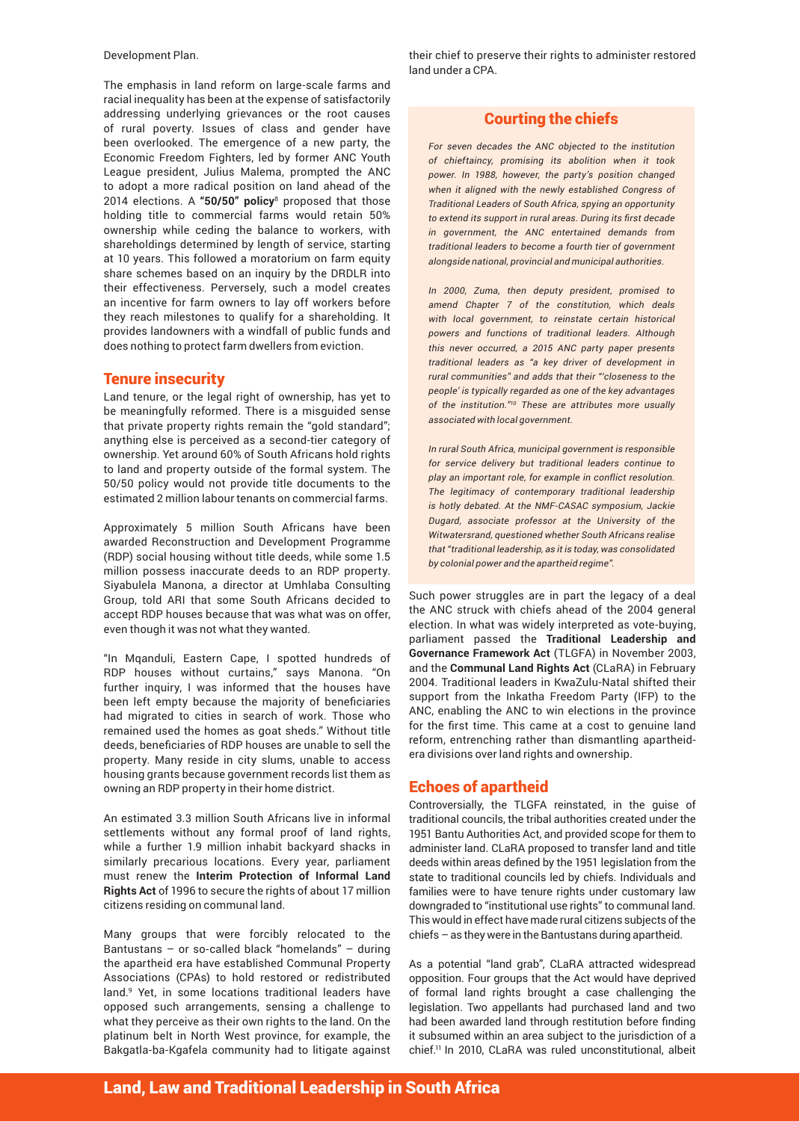Development Plan.

The emphasis in land reform on large-scale farms and racial inequality has been at the expense of satisfactorily addressing underlying grievances or the root causes of rural poverty. Issues of class and gender have been overlooked. The emergence of a new party, the Economic Freedom Fighters, led by former ANC Youth League president, Julius Malema, prompted the ANC to adopt a more radical position on land ahead of the 2014 elections. A **"50/50" policy**<sup>8</sup> proposed that those holding title to commercial farms would retain 50% ownership while ceding the balance to workers, with shareholdings determined by length of service, starting at 10 years. This followed a moratorium on farm equity share schemes based on an inquiry by the DRDLR into their effectiveness. Perversely, such a model creates an incentive for farm owners to lay off workers before they reach milestones to qualify for a shareholding. It provides landowners with a windfall of public funds and does nothing to protect farm dwellers from eviction.

## Tenure insecurity

Land tenure, or the legal right of ownership, has yet to be meaningfully reformed. There is a misguided sense that private property rights remain the "gold standard"; anything else is perceived as a second-tier category of ownership. Yet around 60% of South Africans hold rights to land and property outside of the formal system. The 50/50 policy would not provide title documents to the estimated 2 million labour tenants on commercial farms.

Approximately 5 million South Africans have been awarded Reconstruction and Development Programme (RDP) social housing without title deeds, while some 1.5 million possess inaccurate deeds to an RDP property. Siyabulela Manona, a director at Umhlaba Consulting Group, told ARI that some South Africans decided to accept RDP houses because that was what was on offer, even though it was not what they wanted.

"In Mqanduli, Eastern Cape, I spotted hundreds of RDP houses without curtains," says Manona. "On further inquiry, I was informed that the houses have been left empty because the majority of beneficiaries had migrated to cities in search of work. Those who remained used the homes as goat sheds." Without title deeds, beneficiaries of RDP houses are unable to sell the property. Many reside in city slums, unable to access housing grants because government records list them as owning an RDP property in their home district.

An estimated 3.3 million South Africans live in informal settlements without any formal proof of land rights, while a further 1.9 million inhabit backyard shacks in similarly precarious locations. Every year, parliament must renew the **Interim Protection of Informal Land Rights Act** of 1996 to secure the rights of about 17 million citizens residing on communal land.

Many groups that were forcibly relocated to the Bantustans – or so-called black "homelands" – during the apartheid era have established Communal Property Associations (CPAs) to hold restored or redistributed land.<sup>9</sup> Yet, in some locations traditional leaders have opposed such arrangements, sensing a challenge to what they perceive as their own rights to the land. On the platinum belt in North West province, for example, the Bakgatla-ba-Kgafela community had to litigate against

their chief to preserve their rights to administer restored land under a CPA.

# Courting the chiefs

For seven decades the ANC objected to the institution of chieftaincy, promising its abolition when it took power. In 1988, however, the party's position changed when it aligned with the newly established Congress of Traditional Leaders of South Africa, spying an opportunity to extend its support in rural areas. During its first decade in government, the ANC entertained demands from traditional leaders to become a fourth tier of government alongside national, provincial and municipal authorities.

In 2000, Zuma, then deputy president, promised to amend Chapter 7 of the constitution, which deals with local government, to reinstate certain historical powers and functions of traditional leaders. Although this never occurred, a 2015 ANC party paper presents traditional leaders as "a key driver of development in rural communities" and adds that their "'closeness to the people' is typically regarded as one of the key advantages of the institution."<sup>10</sup> These are attributes more usually associated with local government.

In rural South Africa, municipal government is responsible for service delivery but traditional leaders continue to play an important role, for example in conflict resolution. The legitimacy of contemporary traditional leadership is hotly debated. At the NMF-CASAC symposium, Jackie Dugard, associate professor at the University of the Witwatersrand, questioned whether South Africans realise that "traditional leadership, as it is today, was consolidated by colonial power and the apartheid regime".

Such power struggles are in part the legacy of a deal the ANC struck with chiefs ahead of the 2004 general election. In what was widely interpreted as vote-buying, parliament passed the **Traditional Leadership and Governance Framework Act** (TLGFA) in November 2003, and the **Communal Land Rights Act** (CLaRA) in February 2004. Traditional leaders in KwaZulu-Natal shifted their support from the Inkatha Freedom Party (IFP) to the ANC, enabling the ANC to win elections in the province for the first time. This came at a cost to genuine land reform, entrenching rather than dismantling apartheidera divisions over land rights and ownership.

# Echoes of apartheid

Controversially, the TLGFA reinstated, in the guise of traditional councils, the tribal authorities created under the 1951 Bantu Authorities Act, and provided scope for them to administer land. CLaRA proposed to transfer land and title deeds within areas defined by the 1951 legislation from the state to traditional councils led by chiefs. Individuals and families were to have tenure rights under customary law downgraded to "institutional use rights" to communal land. This would in effect have made rural citizens subjects of the chiefs – as they were in the Bantustans during apartheid.

As a potential "land grab", CLaRA attracted widespread opposition. Four groups that the Act would have deprived of formal land rights brought a case challenging the legislation. Two appellants had purchased land and two had been awarded land through restitution before finding it subsumed within an area subject to the jurisdiction of a chief.11 In 2010, CLaRA was ruled unconstitutional, albeit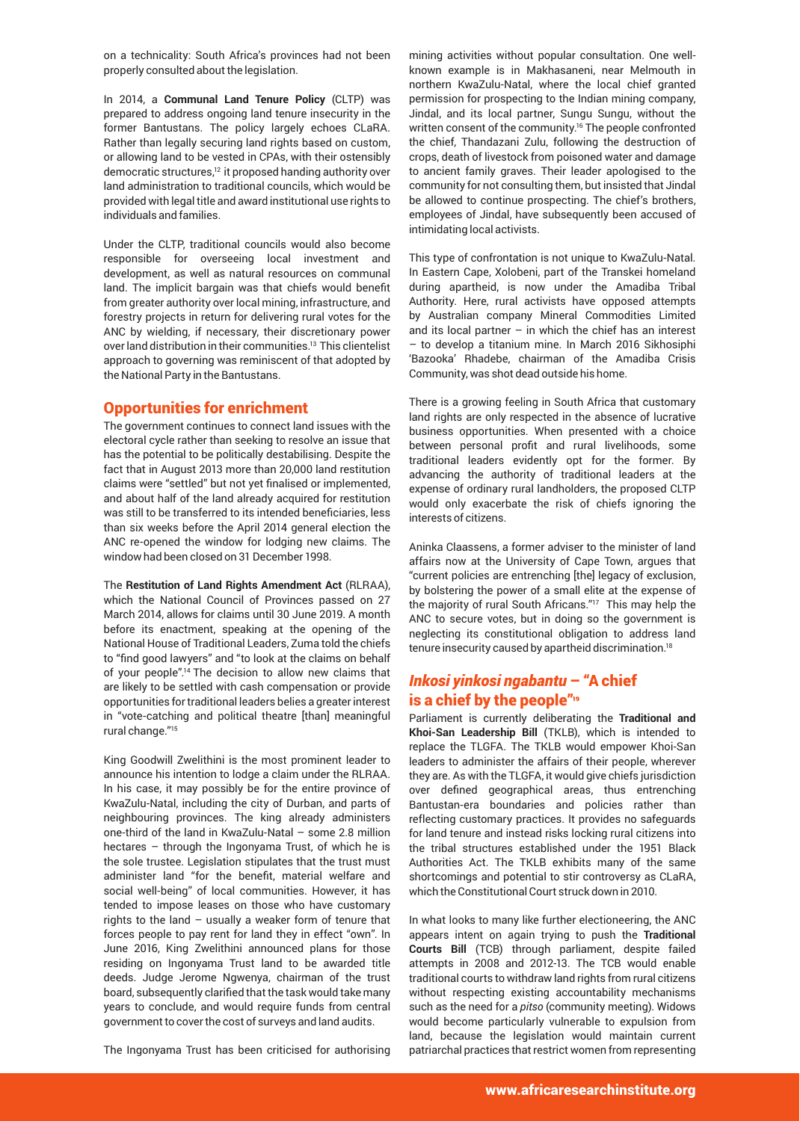on a technicality: South Africa's provinces had not been properly consulted about the legislation.

In 2014, a **Communal Land Tenure Policy** (CLTP) was prepared to address ongoing land tenure insecurity in the former Bantustans. The policy largely echoes CLaRA. Rather than legally securing land rights based on custom, or allowing land to be vested in CPAs, with their ostensibly democratic structures,<sup>12</sup> it proposed handing authority over land administration to traditional councils, which would be provided with legal title and award institutional use rights to individuals and families.

Under the CLTP, traditional councils would also become responsible for overseeing local investment and development, as well as natural resources on communal land. The implicit bargain was that chiefs would benefit from greater authority over local mining, infrastructure, and forestry projects in return for delivering rural votes for the ANC by wielding, if necessary, their discretionary power over land distribution in their communities.<sup>13</sup> This clientelist approach to governing was reminiscent of that adopted by the National Party in the Bantustans.

## Opportunities for enrichment

The government continues to connect land issues with the electoral cycle rather than seeking to resolve an issue that has the potential to be politically destabilising. Despite the fact that in August 2013 more than 20,000 land restitution claims were "settled" but not yet finalised or implemented, and about half of the land already acquired for restitution was still to be transferred to its intended beneficiaries, less than six weeks before the April 2014 general election the ANC re-opened the window for lodging new claims. The window had been closed on 31 December 1998.

The **Restitution of Land Rights Amendment Act** (RLRAA), which the National Council of Provinces passed on 27 March 2014, allows for claims until 30 June 2019. A month before its enactment, speaking at the opening of the National House of Traditional Leaders, Zuma told the chiefs to "find good lawyers" and "to look at the claims on behalf of your people".14 The decision to allow new claims that are likely to be settled with cash compensation or provide opportunities for traditional leaders belies a greater interest in "vote-catching and political theatre [than] meaningful rural change."15

King Goodwill Zwelithini is the most prominent leader to announce his intention to lodge a claim under the RLRAA. In his case, it may possibly be for the entire province of KwaZulu-Natal, including the city of Durban, and parts of neighbouring provinces. The king already administers one-third of the land in KwaZulu-Natal – some 2.8 million hectares – through the Ingonyama Trust, of which he is the sole trustee. Legislation stipulates that the trust must administer land "for the benefit, material welfare and social well-being" of local communities. However, it has tended to impose leases on those who have customary rights to the land – usually a weaker form of tenure that forces people to pay rent for land they in effect "own". In June 2016, King Zwelithini announced plans for those residing on Ingonyama Trust land to be awarded title deeds. Judge Jerome Ngwenya, chairman of the trust board, subsequently clarified that the task would take many years to conclude, and would require funds from central government to cover the cost of surveys and land audits.

The Ingonyama Trust has been criticised for authorising

mining activities without popular consultation. One wellknown example is in Makhasaneni, near Melmouth in northern KwaZulu-Natal, where the local chief granted permission for prospecting to the Indian mining company, Jindal, and its local partner, Sungu Sungu, without the written consent of the community.<sup>16</sup> The people confronted the chief, Thandazani Zulu, following the destruction of crops, death of livestock from poisoned water and damage to ancient family graves. Their leader apologised to the community for not consulting them, but insisted that Jindal be allowed to continue prospecting. The chief's brothers, employees of Jindal, have subsequently been accused of intimidating local activists.

This type of confrontation is not unique to KwaZulu-Natal. In Eastern Cape, Xolobeni, part of the Transkei homeland during apartheid, is now under the Amadiba Tribal Authority. Here, rural activists have opposed attempts by Australian company Mineral Commodities Limited and its local partner  $-$  in which the chief has an interest – to develop a titanium mine. In March 2016 Sikhosiphi 'Bazooka' Rhadebe, chairman of the Amadiba Crisis Community, was shot dead outside his home.

There is a growing feeling in South Africa that customary land rights are only respected in the absence of lucrative business opportunities. When presented with a choice between personal profit and rural livelihoods, some traditional leaders evidently opt for the former. By advancing the authority of traditional leaders at the expense of ordinary rural landholders, the proposed CLTP would only exacerbate the risk of chiefs ignoring the interests of citizens.

Aninka Claassens, a former adviser to the minister of land affairs now at the University of Cape Town, argues that "current policies are entrenching [the] legacy of exclusion, by bolstering the power of a small elite at the expense of the majority of rural South Africans."<sup>17</sup> This may help the ANC to secure votes, but in doing so the government is neglecting its constitutional obligation to address land tenure insecurity caused by apartheid discrimination.18

# *Inkosi yinkosi ngabantu* – "A chief is a chief by the people"<sup>19</sup>

Parliament is currently deliberating the **Traditional and Khoi-San Leadership Bill** (TKLB), which is intended to replace the TLGFA. The TKLB would empower Khoi-San leaders to administer the affairs of their people, wherever they are. As with the TLGFA, it would give chiefs jurisdiction over defined geographical areas, thus entrenching Bantustan-era boundaries and policies rather than reflecting customary practices. It provides no safeguards for land tenure and instead risks locking rural citizens into the tribal structures established under the 1951 Black Authorities Act. The TKLB exhibits many of the same shortcomings and potential to stir controversy as CLaRA, which the Constitutional Court struck down in 2010.

In what looks to many like further electioneering, the ANC appears intent on again trying to push the **Traditional Courts Bill** (TCB) through parliament, despite failed attempts in 2008 and 2012-13. The TCB would enable traditional courts to withdraw land rights from rural citizens without respecting existing accountability mechanisms such as the need for a *pitso* (community meeting). Widows would become particularly vulnerable to expulsion from land, because the legislation would maintain current patriarchal practices that restrict women from representing